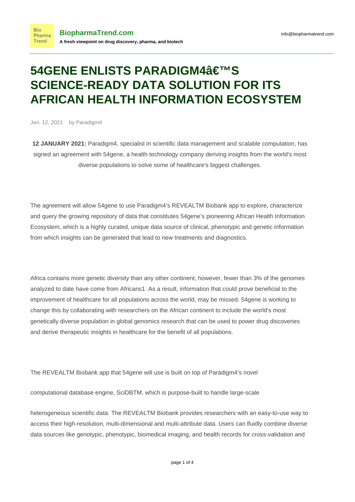## **54GENE ENLISTS PARADIGM4'S SCIENCE-READY DATA SOLUTION FOR ITS AFRICAN HEALTH INFORMATION ECOSYSTEM**

Jan. 12, 2021 by Paradigm4

**12 JANUARY 2021:** Paradigm4, specialist in scientific data management and scalable computation, has signed an agreement with 54gene, a health technology company deriving insights from the world's most diverse populations to solve some of healthcare's biggest challenges.

The agreement will allow 54gene to use Paradigm4's REVEALTM Biobank app to explore, characterize and query the growing repository of data that constitutes 54gene's pioneering African Health Information Ecosystem, which is a highly curated, unique data source of clinical, phenotypic and genetic information from which insights can be generated that lead to new treatments and diagnostics.

Africa contains more genetic diversity than any other continent, however, fewer than 3% of the genomes analyzed to date have come from Africans1. As a result, information that could prove beneficial to the improvement of healthcare for all populations across the world, may be missed. 54gene is working to change this by collaborating with researchers on the African continent to include the world's most genetically diverse population in global genomics research that can be used to power drug discoveries and derive therapeutic insights in healthcare for the benefit of all populations.

The REVEALTM Biobank app that 54gene will use is built on top of Paradigm4's novel

computational database engine, SciDBTM, which is purpose-built to handle large-scale

heterogeneous scientific data. The REVEALTM Biobank provides researchers with an easy-to-use way to access their high-resolution, multi-dimensional and multi-attribute data. Users can fluidly combine diverse data sources like genotypic, phenotypic, biomedical imaging, and health records for cross-validation and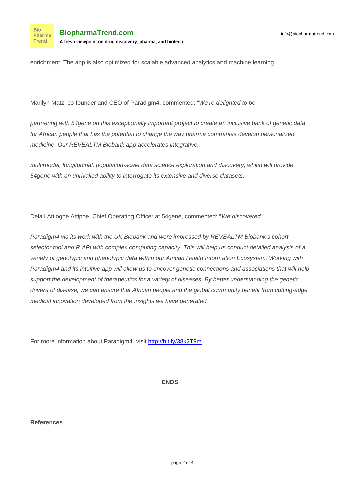enrichment. The app is also optimized for scalable advanced analytics and machine learning.

Marilyn Matz, co-founder and CEO of Paradigm4, commented: "We're delighted to be

partnering with 54gene on this exceptionally important project to create an inclusive bank of genetic data for African people that has the potential to change the way pharma companies develop personalized medicine. Our REVEALTM Biobank app accelerates integrative,

multimodal, longitudinal, population-scale data science exploration and discovery, which will provide 54gene with an unrivalled ability to interrogate its extensive and diverse datasets."

Delali Attiogbe Attipoe, Chief Operating Officer at 54gene, commented: "We discovered

Paradigm4 via its work with the UK Biobank and were impressed by REVEALTM Biobank's cohort selector tool and R API with complex computing capacity. This will help us conduct detailed analysis of a variety of genotypic and phenotypic data within our African Health Information Ecosystem. Working with Paradigm4 and its intuitive app will allow us to uncover genetic connections and associations that will help support the development of therapeutics for a variety of diseases. By better understanding the genetic drivers of disease, we can ensure that African people and the global community benefit from cutting-edge medical innovation developed from the insights we have generated."

For more information about Paradigm4, visit<http://bit.ly/38k2T9m>.

**ENDS**

**References**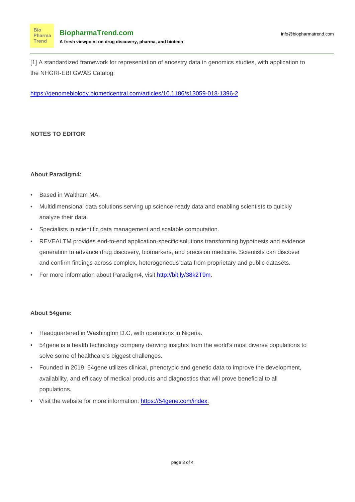[1] A standardized framework for representation of ancestry data in genomics studies, with application to the NHGRI-EBI GWAS Catalog:

<https://genomebiology.biomedcentral.com/articles/10.1186/s13059-018-1396-2>

## **NOTES TO EDITOR**

**Bio** 

## **About Paradigm4:**

- Based in Waltham MA.
- Multidimensional data solutions serving up science-ready data and enabling scientists to quickly analyze their data.
- Specialists in scientific data management and scalable computation.
- REVEALTM provides end-to-end application-specific solutions transforming hypothesis and evidence generation to advance drug discovery, biomarkers, and precision medicine. Scientists can discover and confirm findings across complex, heterogeneous data from proprietary and public datasets.
- For more information about Paradigm4, visit<http://bit.ly/38k2T9m>.

## **About 54gene:**

- Headquartered in Washington D.C, with operations in Nigeria.
- 54gene is a health technology company deriving insights from the world's most diverse populations to solve some of healthcare's biggest challenges.
- Founded in 2019, 54gene utilizes clinical, phenotypic and genetic data to improve the development, availability, and efficacy of medical products and diagnostics that will prove beneficial to all populations.
- Visit the website for more information: [https://54gene.com/index.](https://54gene.com/index)